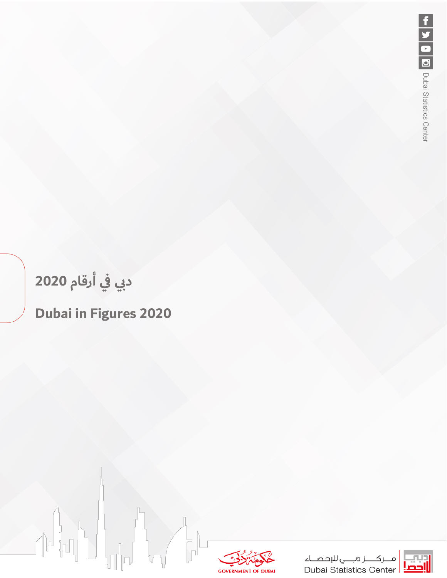# **دبي في أرقام 2020**

## **Dubai in Figures 2020**



ـز دبـــي للإحصــاء صلكـــــز دبـــــي للإحصــاء<br><mark>|إحصا</mark>: Dubai Statistics Center

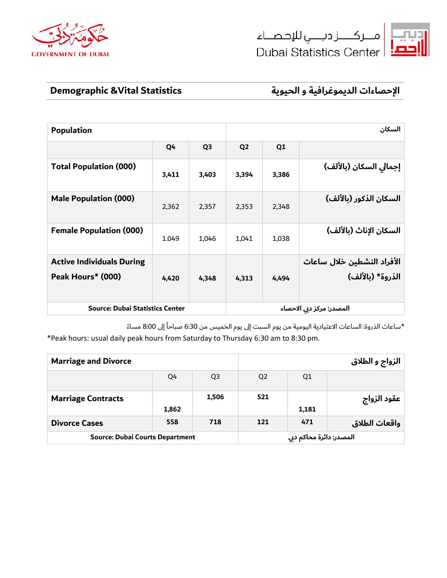





**الإحصاءات الديموغرافية و الحيوية Statistics Vital &Demographic**

| <b>Population</b>                                     |       | السكان         |                |                          |                                                |
|-------------------------------------------------------|-------|----------------|----------------|--------------------------|------------------------------------------------|
|                                                       | Q4    | Q <sub>3</sub> | Q <sub>2</sub> | Q <sub>1</sub>           |                                                |
| <b>Total Population (000)</b>                         | 3,411 | 3,403          | 3,394          | 3,386                    | إجمالي السكان (بالألف)                         |
| <b>Male Population (000)</b>                          | 2,362 | 2,357          | 2,353          | 2,348                    | السكان الذكور (بالألف)                         |
| <b>Female Population (000)</b>                        | 1.049 | 1,046          | 1,041          | 1,038                    | السكان الإناث (بالألف)                         |
| <b>Active Individuals During</b><br>Peak Hours* (000) | 4,420 | 4,348          | 4,313          | 4,494                    | الأفراد النشطين خلال ساعات<br>الذروة* (بالألف) |
| <b>Source: Dubai Statistics Center</b>                |       |                |                | المصدر: مركز دبي الاحصاء |                                                |

\*ساعات الذروة: الساعات الاعتيادية اليومية من يوم السبت إلى يوم الخميس من 6:30 صباحاً إلى 8:00 مساءً \*Peak hours: usual daily peak hours from Saturday to Thursday 6:30 am to 8:30 pm.

| <b>Marriage and Divorce</b>            |                         |                | الزواج و الطلاق |       |               |
|----------------------------------------|-------------------------|----------------|-----------------|-------|---------------|
|                                        | Q4                      | Q <sub>3</sub> | Q <sub>2</sub>  | Q1    |               |
| <b>Marriage Contracts</b>              | 1,862                   | 1,506          | 521             | 1,181 | عقود الزواج   |
| <b>Divorce Cases</b>                   | 558                     | 718            | 121             | 471   | واقعات الطلاق |
| <b>Source: Dubai Courts Department</b> | المصدر: دائرة محاكم دبي |                |                 |       |               |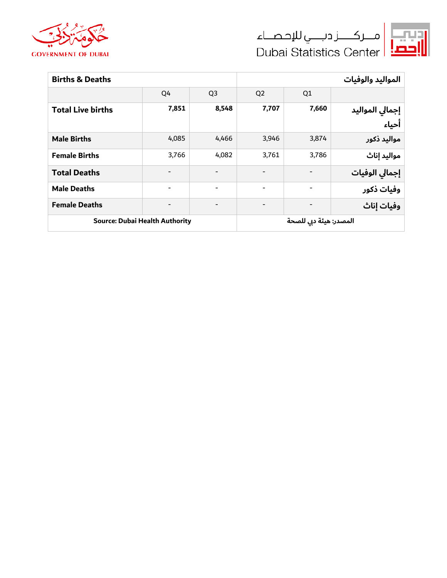





| <b>Births &amp; Deaths</b>            |                          | المواليد والوفيات        |                |                |                          |  |
|---------------------------------------|--------------------------|--------------------------|----------------|----------------|--------------------------|--|
|                                       | Q4                       | Q <sub>3</sub>           | Q <sub>2</sub> | Q <sub>1</sub> |                          |  |
| <b>Total Live births</b>              | 7,851                    | 8,548                    | 7,707          | 7,660          | إجمالي المواليد<br>أحياء |  |
| <b>Male Births</b>                    | 4,085                    | 4.466                    | 3,946          | 3,874          | مواليد ذكور              |  |
| <b>Female Births</b>                  | 3,766                    | 4,082                    | 3,761          | 3,786          | مواليد إناث              |  |
| <b>Total Deaths</b>                   | $\overline{a}$           | $\overline{\phantom{a}}$ |                |                | إجمالى الوفيات           |  |
| <b>Male Deaths</b>                    | $\overline{\phantom{a}}$ | $\overline{\phantom{a}}$ |                |                | وفيات ذكور               |  |
| <b>Female Deaths</b>                  |                          | $\overline{\phantom{0}}$ |                |                | وفيات إناث               |  |
| <b>Source: Dubai Health Authority</b> |                          | المصدر: هيئة دبي للصحة   |                |                |                          |  |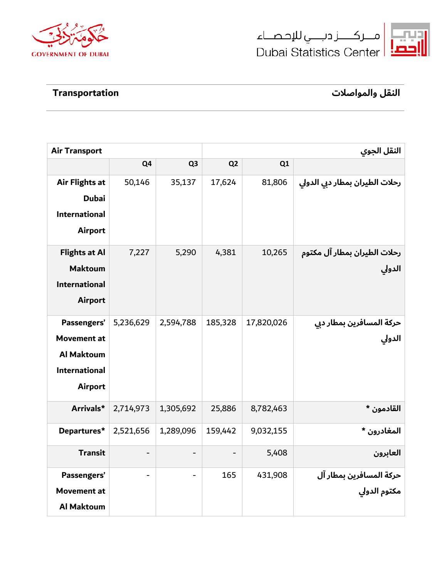





**النقل والمواصلات Transportation**

| <b>Air Transport</b> |                          |                | النقل الجوي    |            |                                |  |
|----------------------|--------------------------|----------------|----------------|------------|--------------------------------|--|
|                      | Q <sub>4</sub>           | Q <sub>3</sub> | Q <sub>2</sub> | Q1         |                                |  |
| Air Flights at       | 50,146                   | 35,137         | 17,624         | 81,806     | رحلات الطيران بمطار دبي الدولي |  |
| <b>Dubai</b>         |                          |                |                |            |                                |  |
| <b>International</b> |                          |                |                |            |                                |  |
| <b>Airport</b>       |                          |                |                |            |                                |  |
| <b>Flights at Al</b> | 7,227                    | 5,290          | 4,381          | 10,265     | رحلات الطيران بمطار آل مكتوم   |  |
| <b>Maktoum</b>       |                          |                |                |            | الدولي                         |  |
| <b>International</b> |                          |                |                |            |                                |  |
| <b>Airport</b>       |                          |                |                |            |                                |  |
| Passengers'          | 5,236,629                | 2,594,788      | 185,328        | 17,820,026 | حركة المسافرين بمطار دبي       |  |
| <b>Movement at</b>   |                          |                |                |            | الدولي                         |  |
| <b>Al Maktoum</b>    |                          |                |                |            |                                |  |
| <b>International</b> |                          |                |                |            |                                |  |
| <b>Airport</b>       |                          |                |                |            |                                |  |
| Arrivals*            | 2,714,973                | 1,305,692      | 25,886         | 8,782,463  | القادمون *                     |  |
| Departures*          | 2,521,656                | 1,289,096      | 159,442        | 9,032,155  | المغادرون *                    |  |
| <b>Transit</b>       | $\overline{\phantom{a}}$ |                |                | 5,408      | العابرون                       |  |
| Passengers'          |                          |                | 165            | 431,908    | حركة المسافرين بمطار آل        |  |
| <b>Movement at</b>   |                          |                |                |            | مكتوم الدولي                   |  |
| <b>Al Maktoum</b>    |                          |                |                |            |                                |  |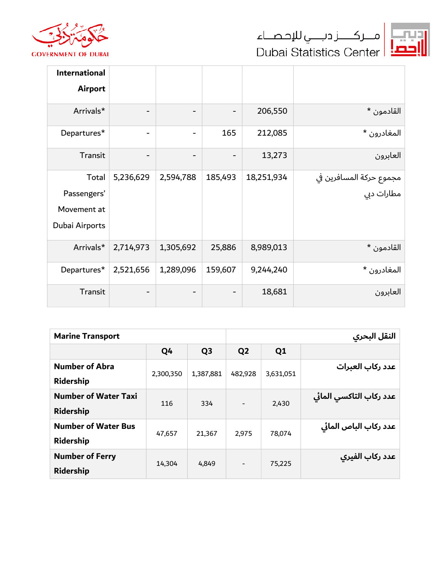





| International<br><b>Airport</b>                       |                          |           |                          |            |                                       |
|-------------------------------------------------------|--------------------------|-----------|--------------------------|------------|---------------------------------------|
| Arrivals*                                             | $\overline{\phantom{a}}$ |           | $\overline{\phantom{a}}$ | 206,550    | القادمون *                            |
| Departures*                                           | $\overline{\phantom{a}}$ |           | 165                      | 212,085    | المغادرون *                           |
| Transit                                               |                          |           |                          | 13,273     | العابرون                              |
| Total<br>Passengers'<br>Movement at<br>Dubai Airports | 5,236,629                | 2,594,788 | 185,493                  | 18,251,934 | مجموع حركة المسافرين في<br>مطارات دبي |
| Arrivals*                                             | 2,714,973                | 1,305,692 | 25,886                   | 8,989,013  | القادمون *                            |
| Departures*                                           | 2,521,656                | 1,289,096 | 159,607                  | 9,244,240  | المغادرون *                           |
| Transit                                               | $\overline{\phantom{a}}$ |           |                          | 18,681     | العابرون                              |

| <b>Marine Transport</b>     |           |                |                          | النقل البحري |                         |  |  |
|-----------------------------|-----------|----------------|--------------------------|--------------|-------------------------|--|--|
|                             | Q4        | Q <sub>3</sub> | Q <sub>2</sub>           | Q1           |                         |  |  |
| <b>Number of Abra</b>       | 2,300,350 | 1,387,881      | 482,928                  | 3,631,051    | عدد ركاب العبرات        |  |  |
| <b>Ridership</b>            |           |                |                          |              |                         |  |  |
| <b>Number of Water Taxi</b> | 116       | 334            | $\overline{\phantom{a}}$ | 2,430        | عدد ركاب التاكسي المائي |  |  |
| <b>Ridership</b>            |           |                |                          |              |                         |  |  |
| <b>Number of Water Bus</b>  | 47,657    | 21,367         | 2,975                    | 78.074       | عدد ركاب الباص المائي   |  |  |
| Ridership                   |           |                |                          |              |                         |  |  |
| <b>Number of Ferry</b>      |           |                | $\overline{\phantom{a}}$ |              | عدد ركاب الفيري         |  |  |
| Ridership                   | 14,304    | 4,849          |                          | 75,225       |                         |  |  |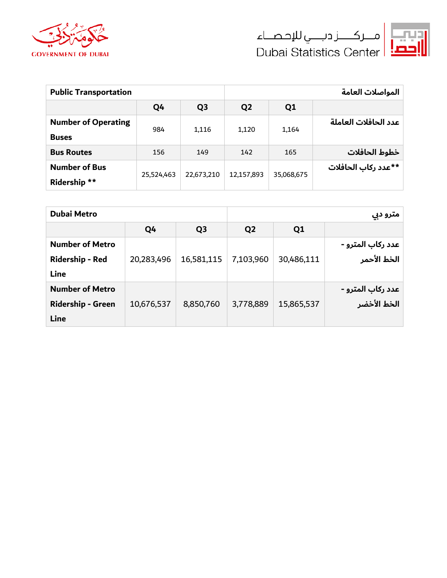





| <b>Public Transportation</b> |                   |                     |                     | المواصلات العامة     |  |  |  |
|------------------------------|-------------------|---------------------|---------------------|----------------------|--|--|--|
| Q <sub>4</sub>               | Q <sub>3</sub>    | Q <sub>2</sub>      | Q1                  |                      |  |  |  |
|                              |                   |                     |                     | عدد الحافلات العاملة |  |  |  |
|                              |                   |                     |                     |                      |  |  |  |
| 156                          | 149               | 142                 | 165                 | خطوط الحافلات        |  |  |  |
|                              |                   |                     |                     | **عدد ركاب الحافلات  |  |  |  |
|                              |                   |                     |                     |                      |  |  |  |
|                              | 984<br>25,524,463 | 1,116<br>22,673,210 | 1,120<br>12,157,893 | 1,164<br>35,068,675  |  |  |  |

| <b>Dubai Metro</b>       |            | مترو دبي       |                |                |                   |
|--------------------------|------------|----------------|----------------|----------------|-------------------|
|                          | Q4         | Q <sub>3</sub> | Q <sub>2</sub> | Q <sub>1</sub> |                   |
| <b>Number of Metro</b>   |            |                |                |                | عدد رکاب المترو - |
| Ridership - Red          | 20,283,496 | 16,581,115     | 7,103,960      | 30,486,111     | الخط الأحمر       |
| <b>Line</b>              |            |                |                |                |                   |
| <b>Number of Metro</b>   |            |                |                |                | عدد رکاب المترو - |
| <b>Ridership - Green</b> | 10,676,537 | 8,850,760      | 3,778,889      | 15,865,537     | الخط الأخضر       |
| <b>Line</b>              |            |                |                |                |                   |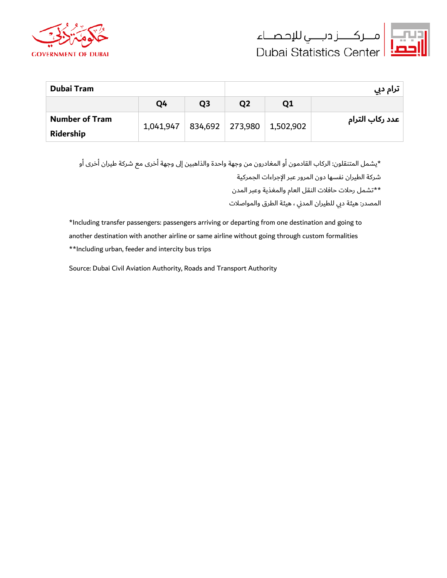





| <b>Dubai Tram</b>     |           |                | ترام دبي       |           |                 |  |
|-----------------------|-----------|----------------|----------------|-----------|-----------------|--|
|                       | Q4        | Q <sub>3</sub> | Q <sub>2</sub> | Q1        |                 |  |
| <b>Number of Tram</b> |           |                |                |           | عدد ركاب الترام |  |
| Ridership             | 1,041,947 | 834,692        | 273,980        | 1,502,902 |                 |  |

\*يشمل المتنقلون: الركاب القادمون أو المغادرون من وجهة واحدة والذاهبين إلى وجهة أخرى مع شركة طيران أخرى أو

شركة الطيران نفسها دون المرور عبر الإجراءات الجمركية

\*\*تشمل رحلات حافلات النقل العام والمغذية وعبر المدن

المصدر: هيئة دبي للطيران المد�ي ، هيئة الطرق والمواصلات

\*Including transfer passengers: passengers arriving or departing from one destination and going to another destination with another airline or same airline without going through custom formalities \*\*Including urban, feeder and intercity bus trips

Source: Dubai Civil Aviation Authority, Roads and Transport Authority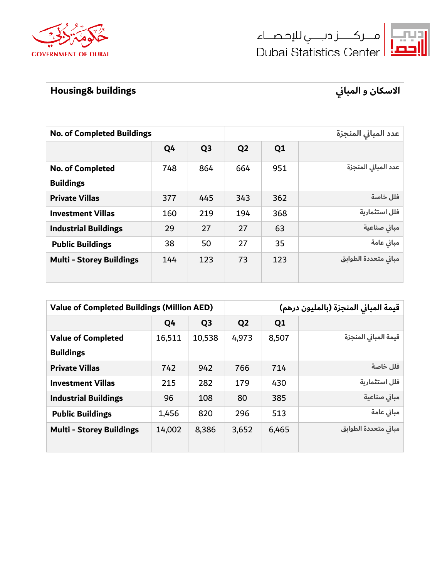





## **الاسكان و المبا buildings& Housing� ي**

| <b>No. of Completed Buildings</b> |                |                |     | عدد المباني المنجزة  |  |  |  |
|-----------------------------------|----------------|----------------|-----|----------------------|--|--|--|
| Q4                                | Q <sub>3</sub> | Q <sub>2</sub> | Q1  |                      |  |  |  |
| 748                               | 864            | 664            | 951 | عدد المباني المنجزة  |  |  |  |
| 377                               | 445            | 343            | 362 | فلل خاصة             |  |  |  |
| 160                               | 219            | 194            | 368 | فلل استثمارية        |  |  |  |
| 29                                | 27             | 27             | 63  | مباني صناعية         |  |  |  |
| 38                                | 50             | 27             | 35  | مباني عامة           |  |  |  |
| 144                               | 123            | 73             | 123 | مبانى متعددة الطوابق |  |  |  |
|                                   |                |                |     |                      |  |  |  |

| <b>Value of Completed Buildings (Million AED)</b> |                |                | قيمة المباني المنجزة (بالمليون درهم) |                |                      |
|---------------------------------------------------|----------------|----------------|--------------------------------------|----------------|----------------------|
|                                                   | Q <sub>4</sub> | Q <sub>3</sub> | Q <sub>2</sub>                       | Q <sub>1</sub> |                      |
| <b>Value of Completed</b>                         | 16,511         | 10,538         | 4,973                                | 8,507          | قيمة المبانى المنجزة |
| <b>Buildings</b>                                  |                |                |                                      |                |                      |
| <b>Private Villas</b>                             | 742            | 942            | 766                                  | 714            | فلل خاصة             |
| <b>Investment Villas</b>                          | 215            | 282            | 179                                  | 430            | فلل استثمارية        |
| <b>Industrial Buildings</b>                       | 96             | 108            | 80                                   | 385            | مباني صناعية         |
| <b>Public Buildings</b>                           | 1,456          | 820            | 296                                  | 513            | مباني عامة           |
| <b>Multi - Storey Buildings</b>                   | 14,002         | 8,386          | 3,652                                | 6,465          | مباني متعددة الطوابق |
|                                                   |                |                |                                      |                |                      |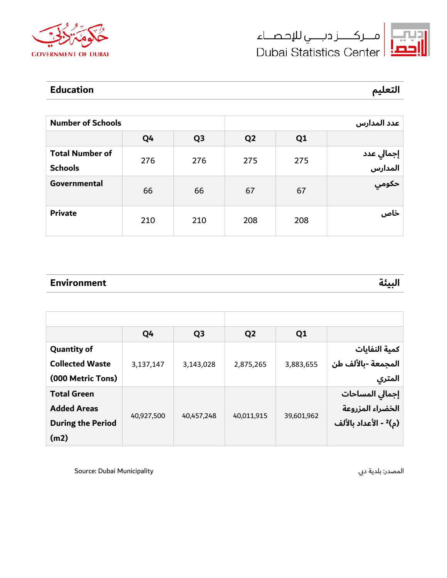





### **التعليم Education**

| <b>Number of Schools</b> |     |                | عدد المدارس    |                |                       |  |
|--------------------------|-----|----------------|----------------|----------------|-----------------------|--|
|                          | Q4  | Q <sub>3</sub> | Q <sub>2</sub> | Q <sub>1</sub> |                       |  |
| <b>Total Number of</b>   | 276 | 276            | 275            |                |                       |  |
| <b>Schools</b>           |     |                |                | 275            | إجمالي عدد<br>المدارس |  |
| Governmental             | 66  | 66             | 67             | 67             | حكومي                 |  |
| <b>Private</b>           | 210 | 210            | 208            | 208            | خاص                   |  |

### **البيئة Environment**

|                          | Q4         | Q <sub>3</sub> | Q <sub>2</sub> | Q1         |                                   |
|--------------------------|------------|----------------|----------------|------------|-----------------------------------|
| <b>Quantity of</b>       |            |                |                |            | كمية النفايات                     |
| <b>Collected Waste</b>   | 3,137,147  | 3,143,028      | 2,875,265      | 3,883,655  | المجمعة -بالألف طن                |
| (000 Metric Tons)        |            |                |                |            | المتري                            |
| <b>Total Green</b>       |            |                |                |            | إجمالي المساحات                   |
| <b>Added Areas</b>       |            |                |                |            | الخضراء المزروعة                  |
| <b>During the Period</b> | 40,927,500 | 40,457,248     | 40,011,915     | 39,601,962 | (م) <sup>2</sup> - الأعداد بالألف |
| (m2)                     |            |                |                |            |                                   |

المصدر: بلدية دبي Municipality : مسدر: بلدية دبي Municipality : مسدر: بلدية دبي المصدر: بلدية دبي ال